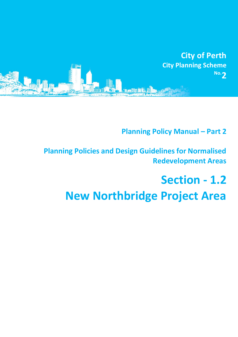

# **Planning Policy Manual - Part 2**

# **Planning Policies and Design Guidelines for Normalised Redevelopment Areas**

# **Section - 1.2 New Northbridge Project Area**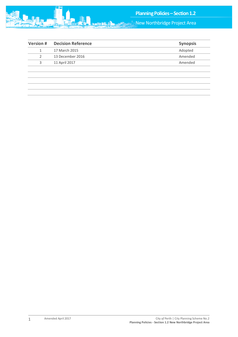

| <b>Version#</b> | <b>Decision Reference</b> | <b>Synopsis</b> |
|-----------------|---------------------------|-----------------|
|                 | 17 March 2015             | Adopted         |
| 2               | 13 December 2016          | Amended         |
| 3               | 11 April 2017             | Amended         |
|                 |                           |                 |
|                 |                           |                 |
|                 |                           |                 |
|                 |                           |                 |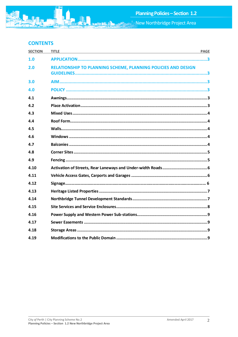## **CONTENTS**

| <b>SECTION</b> | <b>TITLE</b><br><u> 1989 - Johann Stoff, amerikansk politiker (d. 1989)</u> | <b>PAGE</b> |
|----------------|-----------------------------------------------------------------------------|-------------|
| 1.0            |                                                                             |             |
| 2.0            | RELATIONSHIP TO PLANNING SCHEME, PLANNING POLICIES AND DESIGN               |             |
| 3.0            |                                                                             |             |
| 4.0            |                                                                             |             |
| 4.1            |                                                                             |             |
| 4.2            |                                                                             |             |
| 4.3            |                                                                             |             |
| 4.4            |                                                                             |             |
| 4.5            |                                                                             |             |
| 4.6            |                                                                             |             |
| 4.7            |                                                                             |             |
| 4.8            |                                                                             |             |
| 4.9            |                                                                             |             |
| 4.10           |                                                                             |             |
| 4.11           |                                                                             |             |
| 4.12           |                                                                             |             |
| 4.13           |                                                                             |             |
| 4.14           |                                                                             |             |
| 4.15           |                                                                             |             |
| 4.16           |                                                                             |             |
| 4.17           |                                                                             |             |
| 4.18           |                                                                             |             |
| 4.19           |                                                                             |             |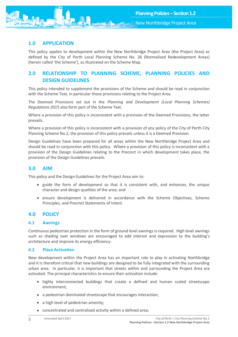

### <span id="page-3-0"></span>**1.0 APPLICATION**

This policy applies to development within the New Northbridge Project Area (the Project Area) as defined by the City of Perth Local Planning Scheme No. 26 (Normalised Redevelopment Areas) (herein called 'the Scheme'), as illustrated on the Scheme Map.

## <span id="page-3-1"></span>**2.0 RELATIONSHIP TO PLANNING SCHEME, PLANNING POLICIES AND DESIGN GUIDELINES**

This policy intended to supplement the provisions of the Scheme and should be read in conjunction with the Scheme Text, in particular those provisions relating to the Project Area.

The Deemed Provisions set out in the *Planning and Development (Local Planning Schemes) Regulations 2015* also form part of the Scheme Text.

Where a provision of this policy is inconsistent with a provision of the Deemed Provisions, the latter prevails.

Where a provision of this policy is inconsistent with a provision of any policy of the City of Perth City Planning Scheme No.2, the provision of this policy prevails unless it is a Deemed Provision.

Design Guidelines have been prepared for all areas within the New Northbridge Project Area and should be read in conjunction with this policy. Where a provision of this policy is inconsistent with a provision of the Design Guidelines relating to the Precinct in which development takes place, the provision of the Design Guidelines prevails.

#### <span id="page-3-2"></span>**3.0 AIM**

This policy and the Design Guidelines for the Project Area aim to:

- guide the form of development so that it is consistent with, and enhances, the unique character and design qualities of the area; and
- ensure development is delivered in accordance with the Scheme Objectives, Scheme Principles, and Precinct Statements of Intent.

#### <span id="page-3-3"></span>**4.0 POLICY**

#### <span id="page-3-4"></span>**4.1 Awnings**

Continuous pedestrian protection in the form of ground level awnings is required. High level awnings such as shading over windows are encouraged to add interest and expression to the building's architecture and improve its energy efficiency.

#### <span id="page-3-5"></span>**4.2 Place Activation**

New development within the Project Area has an important role to play in activating Northbridge and it is therefore critical that new buildings are designed to be fully integrated with the surrounding urban area. In particular, it is important that streets within and surrounding the Project Area are activated. The principal characteristics to ensure their activation include:

- highly interconnected buildings that create a defined and human scaled streetscape environment;
- a pedestrian dominated streetscape that encourages interaction;
- a high level of pedestrian amenity;
- concentrated and centralised activity within a defined area;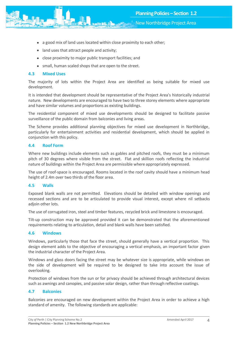

- New Northbridge Project Area
- a good mix of land uses located within close proximity to each other;
- land uses that attract people and activity;
- close proximity to major public transport facilities; and
- small, human scaled shops that are open to the street.

#### <span id="page-4-0"></span>**4.3 Mixed Uses**

The majority of lots within the Project Area are identified as being suitable for mixed use development.

It is intended that development should be representative of the Project Area's historically industrial nature. New developments are encouraged to have two to three storey elements where appropriate and have similar volumes and proportions as existing buildings.

The residential component of mixed use developments should be designed to facilitate passive surveillance of the public domain from balconies and living areas.

The Scheme provides additional planning objectives for mixed use development in Northbridge, particularly for entertainment activities and residential development, which should be applied in conjunction with this policy.

#### <span id="page-4-1"></span>**4.4 Roof Form**

Where new buildings include elements such as gables and pitched roofs, they must be a minimum pitch of 30 degrees where visible from the street. Flat and skillion roofs reflecting the industrial nature of buildings within the Project Area are permissible where appropriately expressed.

The use of roof-space is encouraged. Rooms located in the roof cavity should have a minimum head height of 2.4m over two thirds of the floor area.

#### <span id="page-4-2"></span>**4.5 Walls**

Exposed blank walls are not permitted. Elevations should be detailed with window openings and recessed sections and are to be articulated to provide visual interest, except where nil setbacks adjoin other lots.

The use of corrugated iron, steel and timber features, recycled brick and limestone is encouraged.

Tilt-up construction may be approved provided it can be demonstrated that the aforementioned requirements relating to articulation, detail and blank walls have been satisfied.

#### <span id="page-4-3"></span>**4.6 Windows**

Windows, particularly those that face the street, should generally have a vertical proportion. This design element adds to the objective of encouraging a vertical emphasis, an important factor given the industrial character of the Project Area.

Windows and glass doors facing the street may be whatever size is appropriate, while windows on the side of development will be required to be designed to take into account the issue of overlooking.

Protection of windows from the sun or for privacy should be achieved through architectural devices such as awnings and canopies, and passive solar design, rather than through reflective coatings.

#### <span id="page-4-4"></span>**4.7 Balconies**

Balconies are encouraged on new development within the Project Area in order to achieve a high standard of amenity. The following standards are applicable: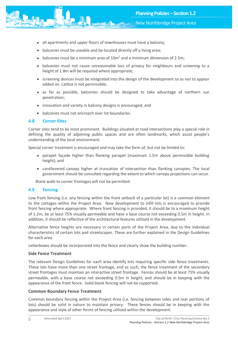

- all apartments and upper floors of townhouses must have a balcony;
- balconies must be useable and be located directly off a living area;
- balconies must be a minimum area of  $10m^2$  and a minimum dimension of 2.5m;
- balconies must not cause unreasonable loss of privacy for neighbours and screening to a height of 1.8m will be required where appropriate;
- screening devices must be integrated into the design of the development so as not to appear added on. Lattice is not permissible;
- as far as possible, balconies should be designed to take advantage of northern sun penetration;
- innovation and variety in balcony designs is encouraged; and
- balconies must not encroach over lot boundaries.

#### <span id="page-5-0"></span>**4.8 Corner Sites**

Corner sites tend to be most prominent. Buildings situated at road intersections play a special role in defining the quality of adjoining public spaces and are often landmarks, which assist people's understanding of the local environment.

Special corner treatment is encouraged and may take the form of, but not be limited to:

- parapet façade higher than flanking parapet (maximum 1.5m above permissible building height); and
- cantilevered canopy higher at truncation of intersection than flanking canopies. The local government should be consulted regarding the extent to which canopy projections can occur.

Blank walls to corner frontages will not be permitted.

#### <span id="page-5-1"></span>**4.9 Fencing**

Low front fencing (i.e. any fencing within the front setback of a particular lot) is a common element to the cottages within the Project Area. New development to infill lots is encouraged to provide front fencing where appropriate. Where front fencing is provided, it should be to a maximum height of 1.2m, be at least 75% visually permeable and have a base course not exceeding 0.5m in height. In addition, it should be reflective of the architectural features utilised in the development.

Alternative fence heights are necessary in certain parts of the Project Area, due to the individual characteristics of certain lots and streetscapes. These are further explained in the Design Guidelines for each area.

Letterboxes should be incorporated into the fence and clearly show the building number.

#### **Side Fence Treatment**

The relevant Design Guidelines for each area identify lots requiring specific side fence treatments. These lots have more than one street frontage, and as such, the fence treatment of the secondary street frontages must maintain an interactive street frontage. Fences should be at least 75% visually permeable, with a base course not exceeding 0.5m in height, and should be in keeping with the appearance of the front fence. Solid blank fencing will not be supported.

#### **Common Boundary Fence Treatment**

Common boundary fencing within the Project Area (i.e. fencing between sides and rear portions of lots) should be solid in nature to maintain privacy. These fences should be in keeping with the appearance and style of other forms of fencing utilised within the development.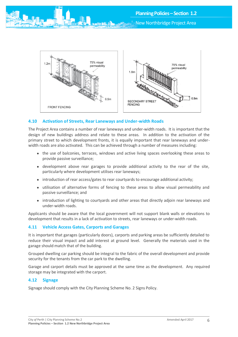New Northbridge Project Area



#### <span id="page-6-0"></span>**4.10 Activation of Streets, Rear Laneways and Under-width Roads**

The Project Area contains a number of rear laneways and under-width roads. It is important that the design of new buildings address and relate to these areas. In addition to the activation of the primary street to which development fronts, it is equally important that rear laneways and underwidth roads are also activated. This can be achieved through a number of measures including:

- the use of balconies, terraces, windows and active living spaces overlooking these areas to provide passive surveillance;
- development above rear garages to provide additional activity to the rear of the site, particularly where development utilises rear laneways;
- introduction of rear access/gates to rear courtyards to encourage additional activity;
- utilisation of alternative forms of fencing to these areas to allow visual permeability and passive surveillance; and
- introduction of lighting to courtyards and other areas that directly adjoin rear laneways and under-width roads.

Applicants should be aware that the local government will not support blank walls or elevations to development that results in a lack of activation to streets, rear laneways or under-width roads.

#### <span id="page-6-1"></span>**4.11 Vehicle Access Gates, Carports and Garages**

It is important that garages (particularly doors), carports and parking areas be sufficiently detailed to reduce their visual impact and add interest at ground level. Generally the materials used in the garage should match that of the building.

Grouped dwelling car parking should be integral to the fabric of the overall development and provide security for the tenants from the car park to the dwelling.

Garage and carport details must be approved at the same time as the development. Any required storage may be integrated with the carport.

#### **4.12 Signage**

<span id="page-6-2"></span>Signage should comply with the City Planning Scheme No. 2 Signs Policy.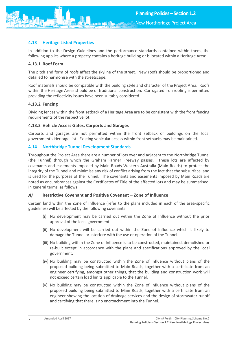

#### **4.13 Heritage Listed Properties**

In addition to the Design Guidelines and the performance standards contained within them, the following applies where a property contains a heritage building or is located within a Heritage Area:

#### **4.13.1 Roof Form**

The pitch and form of roofs affect the skyline of the street. New roofs should be proportioned and detailed to harmonise with the streetscape.

Roof materials should be compatible with the building style and character of the Project Area. Roofs within the Heritage Areas should be of traditional construction. Corrugated iron roofing is permitted providing the reflectivity issues have been suitably considered.

#### **4.13.2 Fencing**

Dividing fences within the front setback of a Heritage Area are to be consistent with the front fencing requirements of the respective lot.

#### **4.13.3 Vehicle Access Gates, Carports and Garages**

Carports and garages are not permitted within the front setback of buildings on the local government's Heritage List. Existing vehicular access within front setbacks may be maintained.

#### <span id="page-7-0"></span>**4.14 Northbridge Tunnel Development Standards**

Throughout the Project Area there are a number of lots over and adjacent to the Northbridge Tunnel (the Tunnel) through which the Graham Farmer Freeway passes. These lots are affected by covenants and easements imposed by Main Roads Western Australia (Main Roads) to protect the integrity of the Tunnel and minimise any risk of conflict arising from the fact that the subsurface land is used for the purposes of the Tunnel. The covenants and easements imposed by Main Roads are noted as encumbrances against the Certificates of Title of the affected lots and may be summarised, in general terms, as follows:

#### *A)* **Restrictive Covenant and Positive Covenant – Zone of Influence**

Certain land within the Zone of Influence (refer to the plans included in each of the area-specific guidelines) will be affected by the following covenants:

- (i) No development may be carried out within the Zone of Influence without the prior approval of the local government.
- (ii) No development will be carried out within the Zone of Influence which is likely to damage the Tunnel or interfere with the use or operation of the Tunnel.
- (iii) No building within the Zone of Influence is to be constructed, maintained, demolished or re-built except in accordance with the plans and specifications approved by the local government.
- (iv) No building may be constructed within the Zone of Influence without plans of the proposed building being submitted to Main Roads, together with a certificate from an engineer certifying, amongst other things, that the building and construction work will not exceed certain load limits applicable to the Tunnel.
- (v) No building may be constructed within the Zone of Influence without plans of the proposed building being submitted to Main Roads, together with a certificate from an engineer showing the location of drainage services and the design of stormwater runoff and certifying that there is no encroachment into the Tunnel.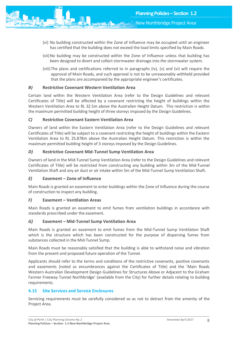

- New Northbridge Project Area
- (vi) No building constructed within the Zone of Influence may be occupied until an engineer has certified that the building does not exceed the load limits specified by Main Roads.
- (vii) No building may be constructed within the Zone of Influence unless that building has been designed to divert and collect stormwater drainage into the stormwater system.
- (viii)The plans and certifications referred to in paragraphs (iv), (v) and (vi) will require the approval of Main Roads, and such approval is not to be unreasonably withheld provided that the plans are accompanied by the appropriate engineer's certificates.

#### *B)* **Restrictive Covenant Western Ventilation Area**

Certain land within the Western Ventilation Area (refer to the Design Guidelines and relevant Certificates of Title) will be affected by a covenant restricting the height of buildings within the Western Ventilation Area to RL 32.5m above the Australian Height Datum. This restriction is within the maximum permitted building height of three storeys imposed by the Design Guidelines.

#### *C)* **Restrictive Covenant Eastern Ventilation Area**

Owners of land within the Eastern Ventilation Area (refer to the Design Guidelines and relevant Certificates of Title) will be subject to a covenant restricting the height of buildings within the Eastern Ventilation Area to RL 25.878m above the Australian Height Datum. This restriction is within the maximum permitted building height of 3 storeys imposed by the Design Guidelines.

#### *D)* **Restrictive Covenant Mid-Tunnel Sump Ventilation Area**

Owners of land in the Mid-Tunnel Sump Ventilation Area (refer to the Design Guidelines and relevant Certificates of Title) will be restricted from constructing any building within 3m of the Mid-Tunnel Ventilation Shaft and any air duct or air intake within 5m of the Mid-Tunnel Sump Ventilation Shaft.

#### *E)* **Easement – Zone of Influence**

Main Roads is granted an easement to enter buildings within the Zone of Influence during the course of construction to inspect any building.

#### *F)* **Easement – Ventilation Areas**

Main Roads is granted an easement to emit fumes from ventilation buildings in accordance with standards prescribed under the easement.

#### *G)* **Easement – Mid-Tunnel Sump Ventilation Area**

Main Roads is granted an easement to emit fumes from the Mid-Tunnel Sump Ventilation Shaft which is the structure which has been constructed for the purpose of dispersing fumes from substances collected in the Mid-Tunnel Sump.

Main Roads must be reasonably satisfied that the building is able to withstand noise and vibration from the present and proposed future operation of the Tunnel.

Applicants should refer to the terms and conditions of the restrictive covenants, positive covenants and easements (noted as encumbrances against the Certificates of Title) and the 'Main Roads Western Australian Development Design Guidelines for Structures Above or Adjacent to the Graham Farmer Freeway Tunnel Northbridge' (available from the City) for further details relating to building requirements.

#### <span id="page-8-0"></span>**4.15 Site Services and Service Enclosures**

Servicing requirements must be carefully considered so as not to detract from the amenity of the Project Area.